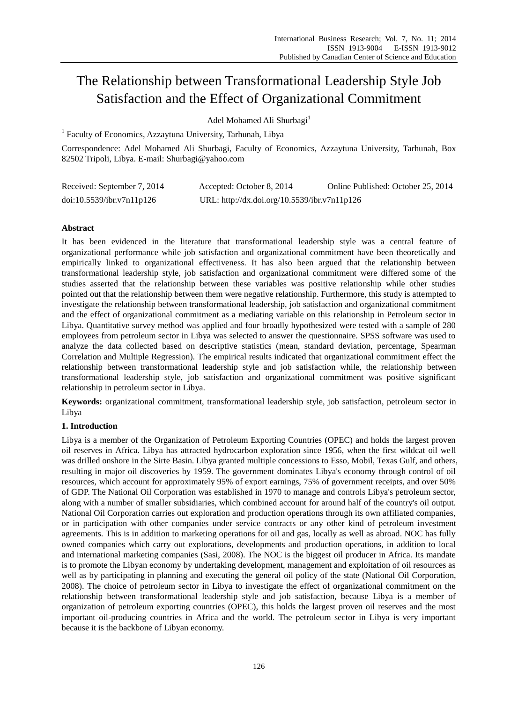# The Relationship between Transformational Leadership Style Job Satisfaction and the Effect of Organizational Commitment

Adel Mohamed Ali Shurbagi<sup>1</sup>

<sup>1</sup> Faculty of Economics, Azzaytuna University, Tarhunah, Libya

Correspondence: Adel Mohamed Ali Shurbagi, Faculty of Economics, Azzaytuna University, Tarhunah, Box 82502 Tripoli, Libya. E-mail: Shurbagi@yahoo.com

| Received: September 7, 2014 | Accepted: October 8, 2014                    | Online Published: October 25, 2014 |
|-----------------------------|----------------------------------------------|------------------------------------|
| doi:10.5539/ibr.v7n11p126   | URL: http://dx.doi.org/10.5539/ibr.v7n11p126 |                                    |

# **Abstract**

It has been evidenced in the literature that transformational leadership style was a central feature of organizational performance while job satisfaction and organizational commitment have been theoretically and empirically linked to organizational effectiveness. It has also been argued that the relationship between transformational leadership style, job satisfaction and organizational commitment were differed some of the studies asserted that the relationship between these variables was positive relationship while other studies pointed out that the relationship between them were negative relationship. Furthermore, this study is attempted to investigate the relationship between transformational leadership, job satisfaction and organizational commitment and the effect of organizational commitment as a mediating variable on this relationship in Petroleum sector in Libya. Quantitative survey method was applied and four broadly hypothesized were tested with a sample of 280 employees from petroleum sector in Libya was selected to answer the questionnaire. SPSS software was used to analyze the data collected based on descriptive statistics (mean, standard deviation, percentage, Spearman Correlation and Multiple Regression). The empirical results indicated that organizational commitment effect the relationship between transformational leadership style and job satisfaction while, the relationship between transformational leadership style, job satisfaction and organizational commitment was positive significant relationship in petroleum sector in Libya.

**Keywords:** organizational commitment, transformational leadership style, job satisfaction, petroleum sector in Libya

# **1. Introduction**

Libya is a member of the Organization of Petroleum Exporting Countries (OPEC) and holds the largest proven oil reserves in Africa. Libya has attracted hydrocarbon exploration since 1956, when the first wildcat oil well was drilled onshore in the Sirte Basin. Libya granted multiple concessions to Esso, Mobil, Texas Gulf, and others, resulting in major oil discoveries by 1959. The government dominates Libya's economy through control of oil resources, which account for approximately 95% of export earnings, 75% of government receipts, and over 50% of GDP. The National Oil Corporation was established in 1970 to manage and controls Libya's petroleum sector, along with a number of smaller subsidiaries, which combined account for around half of the country's oil output. National Oil Corporation carries out exploration and production operations through its own affiliated companies, or in participation with other companies under service contracts or any other kind of petroleum investment agreements. This is in addition to marketing operations for oil and gas, locally as well as abroad. NOC has fully owned companies which carry out explorations, developments and production operations, in addition to local and international marketing companies (Sasi, 2008). The NOC is the biggest oil producer in Africa. Its mandate is to promote the Libyan economy by undertaking development, management and exploitation of oil resources as well as by participating in planning and executing the general oil policy of the state (National Oil Corporation, 2008). The choice of petroleum sector in Libya to investigate the effect of organizational commitment on the relationship between transformational leadership style and job satisfaction, because Libya is a member of organization of petroleum exporting countries (OPEC), this holds the largest proven oil reserves and the most important oil-producing countries in Africa and the world. The petroleum sector in Libya is very important because it is the backbone of Libyan economy.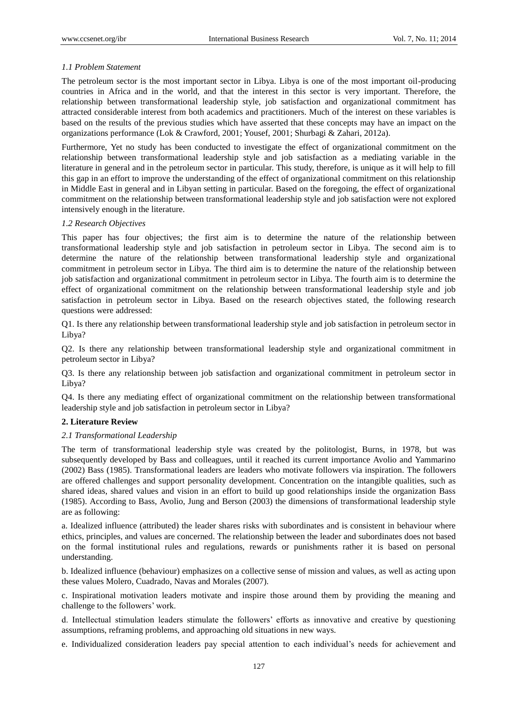# *1.1 Problem Statement*

The petroleum sector is the most important sector in Libya. Libya is one of the most important oil-producing countries in Africa and in the world, and that the interest in this sector is very important. Therefore, the relationship between transformational leadership style, job satisfaction and organizational commitment has attracted considerable interest from both academics and practitioners. Much of the interest on these variables is based on the results of the previous studies which have asserted that these concepts may have an impact on the organizations performance (Lok & Crawford, 2001; Yousef, 2001; Shurbagi & Zahari, 2012a).

Furthermore, Yet no study has been conducted to investigate the effect of organizational commitment on the relationship between transformational leadership style and job satisfaction as a mediating variable in the literature in general and in the petroleum sector in particular. This study, therefore, is unique as it will help to fill this gap in an effort to improve the understanding of the effect of organizational commitment on this relationship in Middle East in general and in Libyan setting in particular. Based on the foregoing, the effect of organizational commitment on the relationship between transformational leadership style and job satisfaction were not explored intensively enough in the literature.

# *1.2 Research Objectives*

This paper has four objectives; the first aim is to determine the nature of the relationship between transformational leadership style and job satisfaction in petroleum sector in Libya. The second aim is to determine the nature of the relationship between transformational leadership style and organizational commitment in petroleum sector in Libya. The third aim is to determine the nature of the relationship between job satisfaction and organizational commitment in petroleum sector in Libya. The fourth aim is to determine the effect of organizational commitment on the relationship between transformational leadership style and job satisfaction in petroleum sector in Libya. Based on the research objectives stated, the following research questions were addressed:

Q1. Is there any relationship between transformational leadership style and job satisfaction in petroleum sector in Libya?

Q2. Is there any relationship between transformational leadership style and organizational commitment in petroleum sector in Libya?

Q3. Is there any relationship between job satisfaction and organizational commitment in petroleum sector in Libya?

Q4. Is there any mediating effect of organizational commitment on the relationship between transformational leadership style and job satisfaction in petroleum sector in Libya?

# **2. Literature Review**

# *2.1 Transformational Leadership*

The term of transformational leadership style was created by the politologist, Burns, in 1978, but was subsequently developed by Bass and colleagues, until it reached its current importance Avolio and Yammarino (2002) Bass (1985). Transformational leaders are leaders who motivate followers via inspiration. The followers are offered challenges and support personality development. Concentration on the intangible qualities, such as shared ideas, shared values and vision in an effort to build up good relationships inside the organization Bass (1985). According to Bass, Avolio, Jung and Berson (2003) the dimensions of transformational leadership style are as following:

a. Idealized influence (attributed) the leader shares risks with subordinates and is consistent in behaviour where ethics, principles, and values are concerned. The relationship between the leader and subordinates does not based on the formal institutional rules and regulations, rewards or punishments rather it is based on personal understanding.

b. Idealized influence (behaviour) emphasizes on a collective sense of mission and values, as well as acting upon these values Molero, Cuadrado, Navas and Morales (2007).

c. Inspirational motivation leaders motivate and inspire those around them by providing the meaning and challenge to the followers' work.

d. Intellectual stimulation leaders stimulate the followers" efforts as innovative and creative by questioning assumptions, reframing problems, and approaching old situations in new ways.

e. Individualized consideration leaders pay special attention to each individual"s needs for achievement and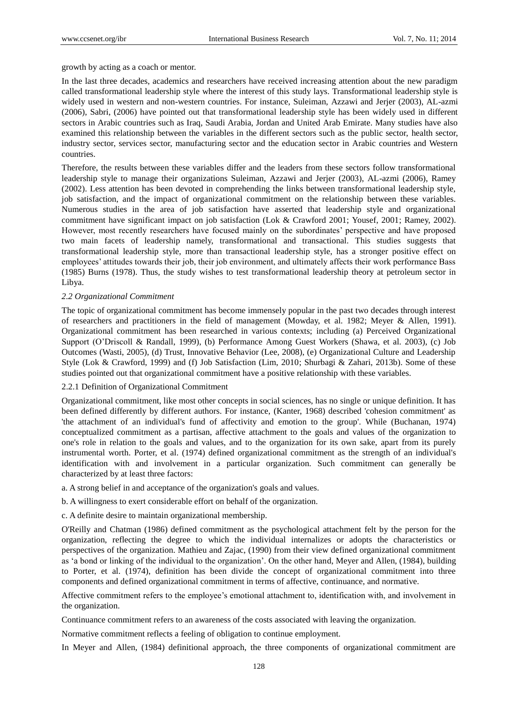growth by acting as a coach or mentor.

In the last three decades, academics and researchers have received increasing attention about the new paradigm called transformational leadership style where the interest of this study lays. Transformational leadership style is widely used in western and non-western countries. For instance, Suleiman, Azzawi and Jerjer (2003), AL-azmi (2006), Sabri, (2006) have pointed out that transformational leadership style has been widely used in different sectors in Arabic countries such as Iraq, Saudi Arabia, Jordan and United Arab Emirate. Many studies have also examined this relationship between the variables in the different sectors such as the public sector, health sector, industry sector, services sector, manufacturing sector and the education sector in Arabic countries and Western countries.

Therefore, the results between these variables differ and the leaders from these sectors follow transformational leadership style to manage their organizations Suleiman, Azzawi and Jerjer (2003), AL-azmi (2006), Ramey (2002). Less attention has been devoted in comprehending the links between transformational leadership style, job satisfaction, and the impact of organizational commitment on the relationship between these variables. Numerous studies in the area of job satisfaction have asserted that leadership style and organizational commitment have significant impact on job satisfaction (Lok & Crawford 2001; Yousef, 2001; Ramey, 2002). However, most recently researchers have focused mainly on the subordinates" perspective and have proposed two main facets of leadership namely, transformational and transactional. This studies suggests that transformational leadership style, more than transactional leadership style, has a stronger positive effect on employees" attitudes towards their job, their job environment, and ultimately affects their work performance Bass (1985) Burns (1978). Thus, the study wishes to test transformational leadership theory at petroleum sector in Libya.

## *2.2 Organizational Commitment*

The topic of organizational commitment has become immensely popular in the past two decades through interest of researchers and practitioners in the field of management (Mowday, et al. 1982; Meyer & Allen, 1991). Organizational commitment has been researched in various contexts; including (a) Perceived Organizational Support (O"Driscoll & Randall, 1999), (b) Performance Among Guest Workers (Shawa, et al. 2003), (c) Job Outcomes (Wasti, 2005), (d) Trust, Innovative Behavior (Lee, 2008), (e) Organizational Culture and Leadership Style (Lok & Crawford, 1999) and (f) Job Satisfaction (Lim, 2010; Shurbagi & Zahari, 2013b). Some of these studies pointed out that organizational commitment have a positive relationship with these variables.

# 2.2.1 Definition of Organizational Commitment

Organizational commitment, like most other concepts in social sciences, has no single or unique definition. It has been defined differently by different authors. For instance, (Kanter, 1968) described 'cohesion commitment' as 'the attachment of an individual's fund of affectivity and emotion to the group'. While (Buchanan, 1974) conceptualized commitment as a partisan, affective attachment to the goals and values of the organization to one's role in relation to the goals and values, and to the organization for its own sake, apart from its purely instrumental worth. Porter, et al. (1974) defined organizational commitment as the strength of an individual's identification with and involvement in a particular organization. Such commitment can generally be characterized by at least three factors:

a. A strong belief in and acceptance of the organization's goals and values.

b. A willingness to exert considerable effort on behalf of the organization.

c. A definite desire to maintain organizational membership.

O'Reilly and Chatman (1986) defined commitment as the psychological attachment felt by the person for the organization, reflecting the degree to which the individual internalizes or adopts the characteristics or perspectives of the organization. Mathieu and Zajac, (1990) from their view defined organizational commitment as "a bond or linking of the individual to the organization". On the other hand, Meyer and Allen, (1984), building to Porter, et al. (1974), definition has been divide the concept of organizational commitment into three components and defined organizational commitment in terms of affective, continuance, and normative.

Affective commitment refers to the employee"s emotional attachment to, identification with, and involvement in the organization.

Continuance commitment refers to an awareness of the costs associated with leaving the organization.

Normative commitment reflects a feeling of obligation to continue employment.

In Meyer and Allen, (1984) definitional approach, the three components of organizational commitment are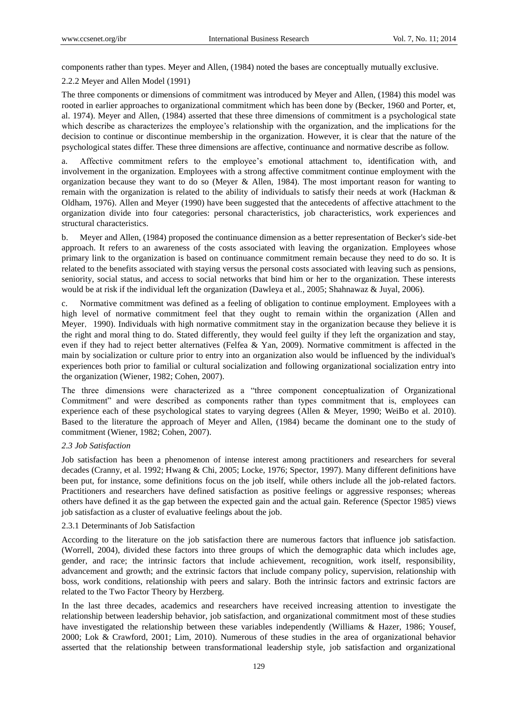components rather than types. Meyer and Allen, (1984) noted the bases are conceptually mutually exclusive.

## 2.2.2 Meyer and Allen Model (1991)

The three components or dimensions of commitment was introduced by Meyer and Allen, (1984) this model was rooted in earlier approaches to organizational commitment which has been done by (Becker, 1960 and Porter, et, al. 1974). Meyer and Allen, (1984) asserted that these three dimensions of commitment is a psychological state which describe as characterizes the employee's relationship with the organization, and the implications for the decision to continue or discontinue membership in the organization. However, it is clear that the nature of the psychological states differ. These three dimensions are affective, continuance and normative describe as follow.

a. Affective commitment refers to the employee"s emotional attachment to, identification with, and involvement in the organization. Employees with a strong affective commitment continue employment with the organization because they want to do so (Meyer & Allen, 1984). The most important reason for wanting to remain with the organization is related to the ability of individuals to satisfy their needs at work (Hackman & Oldham, 1976). Allen and Meyer (1990) have been suggested that the antecedents of affective attachment to the organization divide into four categories: personal characteristics, job characteristics, work experiences and structural characteristics.

b. Meyer and Allen, (1984) proposed the continuance dimension as a better representation of Becker's side-bet approach. It refers to an awareness of the costs associated with leaving the organization. Employees whose primary link to the organization is based on continuance commitment remain because they need to do so. It is related to the benefits associated with staying versus the personal costs associated with leaving such as pensions, seniority, social status, and access to social networks that bind him or her to the organization. These interests would be at risk if the individual left the organization (Dawleya et al., 2005; Shahnawaz & Juyal, 2006).

c. Normative commitment was defined as a feeling of obligation to continue employment. Employees with a high level of normative commitment feel that they ought to remain within the organization (Allen and Meyer, 1990). Individuals with high normative commitment stay in the organization because they believe it is the right and moral thing to do. Stated differently, they would feel guilty if they left the organization and stay, even if they had to reject better alternatives (Felfea & Yan, 2009). Normative commitment is affected in the main by socialization or culture prior to entry into an organization also would be influenced by the individual's experiences both prior to familial or cultural socialization and following organizational socialization entry into the organization (Wiener, 1982; Cohen, 2007).

The three dimensions were characterized as a "three component conceptualization of Organizational Commitment" and were described as components rather than types commitment that is, employees can experience each of these psychological states to varying degrees (Allen & Meyer, 1990; WeiBo et al. 2010). Based to the literature the approach of Meyer and Allen, (1984) became the dominant one to the study of commitment (Wiener, 1982; Cohen, 2007).

## *2.3 Job Satisfaction*

Job satisfaction has been a phenomenon of intense interest among practitioners and researchers for several decades (Cranny, et al. 1992; Hwang & Chi, 2005; Locke, 1976; Spector, 1997). Many different definitions have been put, for instance, some definitions focus on the job itself, while others include all the job-related factors. Practitioners and researchers have defined satisfaction as positive feelings or aggressive responses; whereas others have defined it as the gap between the expected gain and the actual gain. Reference (Spector 1985) views job satisfaction as a cluster of evaluative feelings about the job.

#### 2.3.1 Determinants of Job Satisfaction

According to the literature on the job satisfaction there are numerous factors that influence job satisfaction. (Worrell, 2004), divided these factors into three groups of which the demographic data which includes age, gender, and race; the intrinsic factors that include achievement, recognition, work itself, responsibility, advancement and growth; and the extrinsic factors that include company policy, supervision, relationship with boss, work conditions, relationship with peers and salary. Both the intrinsic factors and extrinsic factors are related to the Two Factor Theory by Herzberg.

In the last three decades, academics and researchers have received increasing attention to investigate the relationship between leadership behavior, job satisfaction, and organizational commitment most of these studies have investigated the relationship between these variables independently (Williams & Hazer, 1986; Yousef, 2000; Lok & Crawford, 2001; Lim, 2010). Numerous of these studies in the area of organizational behavior asserted that the relationship between transformational leadership style, job satisfaction and organizational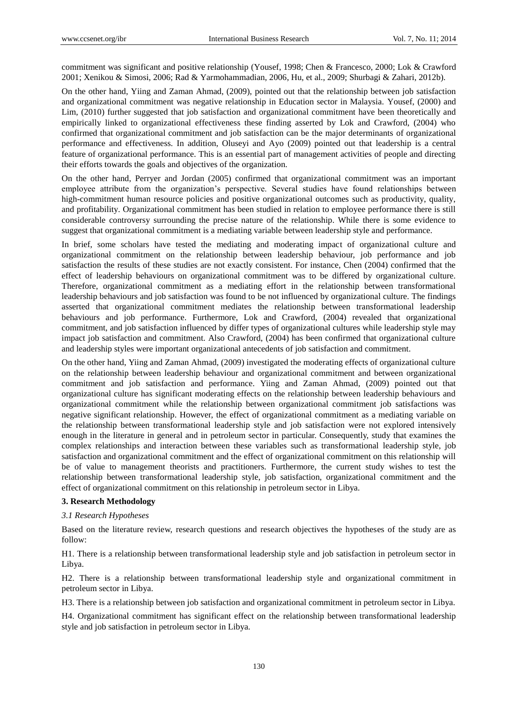commitment was significant and positive relationship (Yousef, 1998; Chen & Francesco, 2000; Lok & Crawford 2001; Xenikou & Simosi, 2006; Rad & Yarmohammadian, 2006, Hu, et al., 2009; Shurbagi & Zahari, 2012b).

On the other hand, Yiing and Zaman Ahmad, (2009), pointed out that the relationship between job satisfaction and organizational commitment was negative relationship in Education sector in Malaysia. Yousef, (2000) and Lim, (2010) further suggested that job satisfaction and organizational commitment have been theoretically and empirically linked to organizational effectiveness these finding asserted by Lok and Crawford, (2004) who confirmed that organizational commitment and job satisfaction can be the major determinants of organizational performance and effectiveness. In addition, Oluseyi and Ayo (2009) pointed out that leadership is a central feature of organizational performance. This is an essential part of management activities of people and directing their efforts towards the goals and objectives of the organization.

On the other hand, Perryer and Jordan (2005) confirmed that organizational commitment was an important employee attribute from the organization"s perspective. Several studies have found relationships between high-commitment human resource policies and positive organizational outcomes such as productivity, quality, and profitability. Organizational commitment has been studied in relation to employee performance there is still considerable controversy surrounding the precise nature of the relationship. While there is some evidence to suggest that organizational commitment is a mediating variable between leadership style and performance.

In brief, some scholars have tested the mediating and moderating impact of organizational culture and organizational commitment on the relationship between leadership behaviour, job performance and job satisfaction the results of these studies are not exactly consistent. For instance, Chen (2004) confirmed that the effect of leadership behaviours on organizational commitment was to be differed by organizational culture. Therefore, organizational commitment as a mediating effort in the relationship between transformational leadership behaviours and job satisfaction was found to be not influenced by organizational culture. The findings asserted that organizational commitment mediates the relationship between transformational leadership behaviours and job performance. Furthermore, Lok and Crawford, (2004) revealed that organizational commitment, and job satisfaction influenced by differ types of organizational cultures while leadership style may impact job satisfaction and commitment. Also Crawford, (2004) has been confirmed that organizational culture and leadership styles were important organizational antecedents of job satisfaction and commitment.

On the other hand, Yiing and Zaman Ahmad, (2009) investigated the moderating effects of organizational culture on the relationship between leadership behaviour and organizational commitment and between organizational commitment and job satisfaction and performance. Yiing and Zaman Ahmad, (2009) pointed out that organizational culture has significant moderating effects on the relationship between leadership behaviours and organizational commitment while the relationship between organizational commitment job satisfactions was negative significant relationship. However, the effect of organizational commitment as a mediating variable on the relationship between transformational leadership style and job satisfaction were not explored intensively enough in the literature in general and in petroleum sector in particular. Consequently, study that examines the complex relationships and interaction between these variables such as transformational leadership style, job satisfaction and organizational commitment and the effect of organizational commitment on this relationship will be of value to management theorists and practitioners. Furthermore, the current study wishes to test the relationship between transformational leadership style, job satisfaction, organizational commitment and the effect of organizational commitment on this relationship in petroleum sector in Libya.

#### **3. Research Methodology**

## *3.1 Research Hypotheses*

Based on the literature review, research questions and research objectives the hypotheses of the study are as follow:

H1. There is a relationship between transformational leadership style and job satisfaction in petroleum sector in Libya.

H2. There is a relationship between transformational leadership style and organizational commitment in petroleum sector in Libya.

H3. There is a relationship between job satisfaction and organizational commitment in petroleum sector in Libya.

H4. Organizational commitment has significant effect on the relationship between transformational leadership style and job satisfaction in petroleum sector in Libya.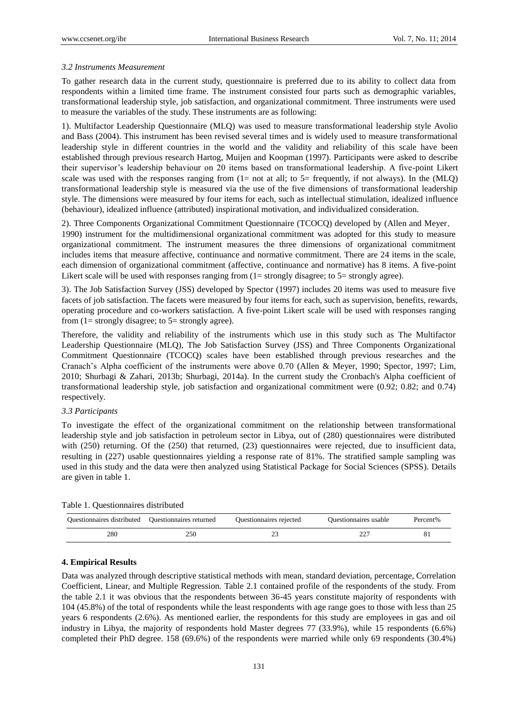## *3.2 Instruments Measurement*

To gather research data in the current study, questionnaire is preferred due to its ability to collect data from respondents within a limited time frame. The instrument consisted four parts such as demographic variables, transformational leadership style, job satisfaction, and organizational commitment. Three instruments were used to measure the variables of the study. These instruments are as following:

1). Multifactor Leadership Questionnaire (MLQ) was used to measure transformational leadership style Avolio and Bass (2004). This instrument has been revised several times and is widely used to measure transformational leadership style in different countries in the world and the validity and reliability of this scale have been established through previous research Hartog, Muijen and Koopman (1997). Participants were asked to describe their supervisor"s leadership behaviour on 20 items based on transformational leadership. A five-point Likert scale was used with the responses ranging from  $(1=$  not at all; to  $5=$  frequently, if not always). In the (MLQ) transformational leadership style is measured via the use of the five dimensions of transformational leadership style. The dimensions were measured by four items for each, such as intellectual stimulation, idealized influence (behaviour), idealized influence (attributed) inspirational motivation, and individualized consideration.

2). Three Components Organizational Commitment Questionnaire (TCOCQ) developed by (Allen and Meyer, 1990) instrument for the multidimensional organizational commitment was adopted for this study to measure

organizational commitment. The instrument measures the three dimensions of organizational commitment includes items that measure affective, continuance and normative commitment. There are 24 items in the scale, each dimension of organizational commitment (affective, continuance and normative) has 8 items. A five-point Likert scale will be used with responses ranging from  $(1=$  strongly disagree; to 5= strongly agree).

3). The Job Satisfaction Survey (JSS) developed by Spector (1997) includes 20 items was used to measure five facets of job satisfaction. The facets were measured by four items for each, such as supervision, benefits, rewards, operating procedure and co-workers satisfaction. A five-point Likert scale will be used with responses ranging from  $(1=$  strongly disagree; to  $5=$  strongly agree).

Therefore, the validity and reliability of the instruments which use in this study such as The Multifactor Leadership Questionnaire (MLQ), The Job Satisfaction Survey (JSS) and Three Components Organizational Commitment Questionnaire (TCOCQ) scales have been established through previous researches and the Cranach"s Alpha coefficient of the instruments were above 0.70 (Allen & Meyer, 1990; Spector, 1997; Lim, 2010; Shurbagi & Zahari, 2013b; Shurbagi, 2014a). In the current study the Cronbach's Alpha coefficient of transformational leadership style, job satisfaction and organizational commitment were (0.92; 0.82; and 0.74) respectively.

## *3.3 Participants*

To investigate the effect of the organizational commitment on the relationship between transformational leadership style and job satisfaction in petroleum sector in Libya, out of (280) questionnaires were distributed with (250) returning. Of the (250) that returned, (23) questionnaires were rejected, due to insufficient data, resulting in (227) usable questionnaires yielding a response rate of 81%. The stratified sample sampling was used in this study and the data were then analyzed using Statistical Package for Social Sciences (SPSS). Details are given in table 1.

| Questionnaires distributed Questionnaires returned |     | Questionnaires rejected | Questionnaires usable | Percent% |
|----------------------------------------------------|-----|-------------------------|-----------------------|----------|
| 280                                                | 250 |                         |                       | 81       |

Table 1. Questionnaires distributed

# **4. Empirical Results**

Data was analyzed through descriptive statistical methods with mean, standard deviation, percentage, Correlation Coefficient, Linear, and Multiple Regression. Table 2.1 contained profile of the respondents of the study. From the table 2.1 it was obvious that the respondents between 36-45 years constitute majority of respondents with 104 (45.8%) of the total of respondents while the least respondents with age range goes to those with less than 25 years 6 respondents (2.6%). As mentioned earlier, the respondents for this study are employees in gas and oil industry in Libya, the majority of respondents hold Master degrees 77 (33.9%), while 15 respondents (6.6%) completed their PhD degree. 158 (69.6%) of the respondents were married while only 69 respondents (30.4%)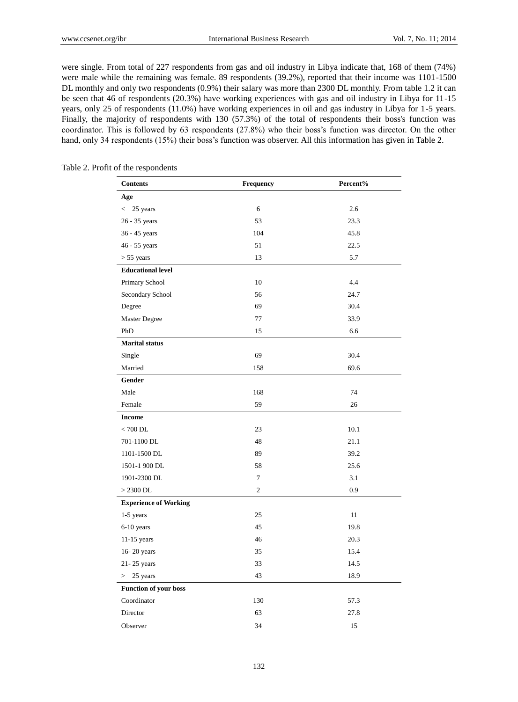were single. From total of 227 respondents from gas and oil industry in Libya indicate that, 168 of them (74%) were male while the remaining was female. 89 respondents (39.2%), reported that their income was 1101-1500 DL monthly and only two respondents (0.9%) their salary was more than 2300 DL monthly. From table 1.2 it can be seen that 46 of respondents (20.3%) have working experiences with gas and oil industry in Libya for 11-15 years, only 25 of respondents (11.0%) have working experiences in oil and gas industry in Libya for 1-5 years. Finally, the majority of respondents with 130 (57.3%) of the total of respondents their boss's function was coordinator. This is followed by 63 respondents (27.8%) who their boss"s function was director. On the other hand, only 34 respondents (15%) their boss's function was observer. All this information has given in Table 2.

| <b>Contents</b>              | Frequency      | Percent% |
|------------------------------|----------------|----------|
| Age                          |                |          |
| $<$ 25 years                 | 6              | 2.6      |
| 26 - 35 years                | 53             | 23.3     |
| 36 - 45 years                | 104            | 45.8     |
| 46 - 55 years                | 51             | 22.5     |
| $> 55$ years                 | 13             | 5.7      |
| <b>Educational level</b>     |                |          |
| Primary School               | 10             | 4.4      |
| Secondary School             | 56             | 24.7     |
| Degree                       | 69             | 30.4     |
| Master Degree                | 77             | 33.9     |
| PhD                          | 15             | 6.6      |
| <b>Marital status</b>        |                |          |
| Single                       | 69             | 30.4     |
| Married                      | 158            | 69.6     |
| Gender                       |                |          |
| Male                         | 168            | 74       |
| Female                       | 59             | 26       |
| <b>Income</b>                |                |          |
| $< 700$ DL                   | 23             | 10.1     |
| 701-1100 DL                  | 48             | 21.1     |
| 1101-1500 DL                 | 89             | 39.2     |
| 1501-1 900 DL                | 58             | 25.6     |
| 1901-2300 DL                 | $\overline{7}$ | 3.1      |
| $>2300$ DL                   | $\overline{c}$ | 0.9      |
| <b>Experience of Working</b> |                |          |
| 1-5 years                    | 25             | 11       |
| 6-10 years                   | 45             | 19.8     |
| 11-15 years                  | 46             | 20.3     |
| 16-20 years                  | 35             | 15.4     |
| 21-25 years                  | 33             | 14.5     |
| 25 years<br>$\,>$            | 43             | 18.9     |
| <b>Function of your boss</b> |                |          |
| Coordinator                  | 130            | 57.3     |
| Director                     | 63             | 27.8     |
| Observer                     | 34             | 15       |

Table 2. Profit of the respondents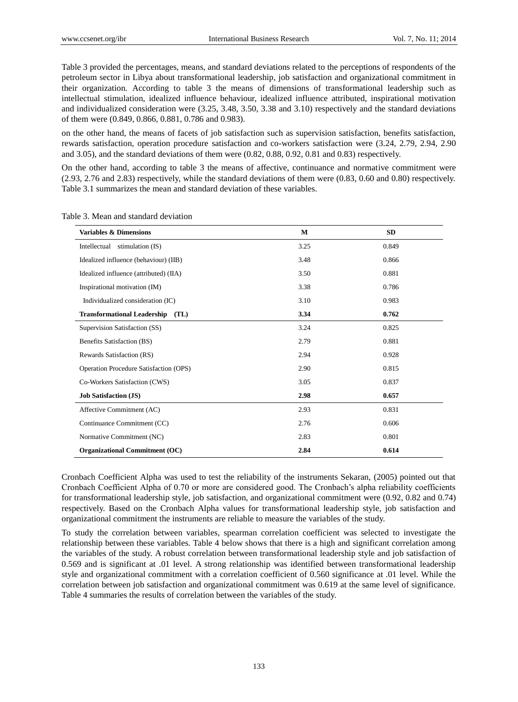Table 3 provided the percentages, means, and standard deviations related to the perceptions of respondents of the petroleum sector in Libya about transformational leadership, job satisfaction and organizational commitment in their organization. According to table 3 the means of dimensions of transformational leadership such as intellectual stimulation, idealized influence behaviour, idealized influence attributed, inspirational motivation and individualized consideration were (3.25, 3.48, 3.50, 3.38 and 3.10) respectively and the standard deviations of them were (0.849, 0.866, 0.881, 0.786 and 0.983).

on the other hand, the means of facets of job satisfaction such as supervision satisfaction, benefits satisfaction, rewards satisfaction, operation procedure satisfaction and co-workers satisfaction were (3.24, 2.79, 2.94, 2.90 and 3.05), and the standard deviations of them were (0.82, 0.88, 0.92, 0.81 and 0.83) respectively.

On the other hand, according to table 3 the means of affective, continuance and normative commitment were (2.93, 2.76 and 2.83) respectively, while the standard deviations of them were (0.83, 0.60 and 0.80) respectively. Table 3.1 summarizes the mean and standard deviation of these variables.

| <b>Variables &amp; Dimensions</b>             | M    | <b>SD</b> |
|-----------------------------------------------|------|-----------|
| Intellectual stimulation (IS)                 | 3.25 | 0.849     |
| Idealized influence (behaviour) (IIB)         | 3.48 | 0.866     |
| Idealized influence (attributed) (IIA)        | 3.50 | 0.881     |
| Inspirational motivation (IM)                 | 3.38 | 0.786     |
| Individualized consideration (IC)             | 3.10 | 0.983     |
| Transformational Leadership (TL)              | 3.34 | 0.762     |
| Supervision Satisfaction (SS)                 | 3.24 | 0.825     |
| <b>Benefits Satisfaction (BS)</b>             | 2.79 | 0.881     |
| Rewards Satisfaction (RS)                     | 2.94 | 0.928     |
| <b>Operation Procedure Satisfaction (OPS)</b> | 2.90 | 0.815     |
| Co-Workers Satisfaction (CWS)                 | 3.05 | 0.837     |
| <b>Job Satisfaction (JS)</b>                  | 2.98 | 0.657     |
| Affective Commitment (AC)                     | 2.93 | 0.831     |
| Continuance Commitment (CC)                   | 2.76 | 0.606     |
| Normative Commitment (NC)                     | 2.83 | 0.801     |
| <b>Organizational Commitment (OC)</b>         | 2.84 | 0.614     |

Table 3. Mean and standard deviation

Cronbach Coefficient Alpha was used to test the reliability of the instruments Sekaran, (2005) pointed out that Cronbach Coefficient Alpha of 0.70 or more are considered good. The Cronbach"s alpha reliability coefficients for transformational leadership style, job satisfaction, and organizational commitment were (0.92, 0.82 and 0.74) respectively. Based on the Cronbach Alpha values for transformational leadership style, job satisfaction and organizational commitment the instruments are reliable to measure the variables of the study.

To study the correlation between variables, spearman correlation coefficient was selected to investigate the relationship between these variables. Table 4 below shows that there is a high and significant correlation among the variables of the study. A robust correlation between transformational leadership style and job satisfaction of 0.569 and is significant at .01 level. A strong relationship was identified between transformational leadership style and organizational commitment with a correlation coefficient of 0.560 significance at .01 level. While the correlation between job satisfaction and organizational commitment was 0.619 at the same level of significance. Table 4 summaries the results of correlation between the variables of the study.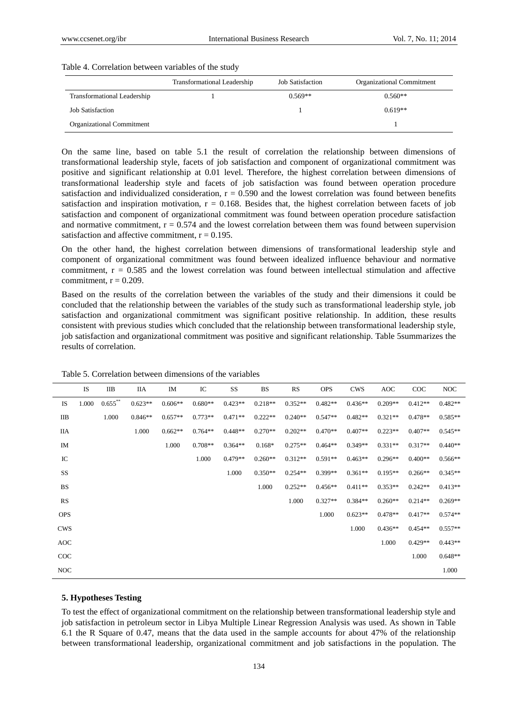| Table 4. Correlation between variables of the study |  |  |
|-----------------------------------------------------|--|--|
|-----------------------------------------------------|--|--|

|                             | <b>Transformational Leadership</b> | <b>Job Satisfaction</b> | Organizational Commitment |
|-----------------------------|------------------------------------|-------------------------|---------------------------|
| Transformational Leadership |                                    | $0.569**$               | $0.560**$                 |
| <b>Job Satisfaction</b>     |                                    |                         | $0.619**$                 |
| Organizational Commitment   |                                    |                         |                           |

On the same line, based on table 5.1 the result of correlation the relationship between dimensions of transformational leadership style, facets of job satisfaction and component of organizational commitment was positive and significant relationship at 0.01 level. Therefore, the highest correlation between dimensions of transformational leadership style and facets of job satisfaction was found between operation procedure satisfaction and individualized consideration,  $r = 0.590$  and the lowest correlation was found between benefits satisfaction and inspiration motivation,  $r = 0.168$ . Besides that, the highest correlation between facets of job satisfaction and component of organizational commitment was found between operation procedure satisfaction and normative commitment,  $r = 0.574$  and the lowest correlation between them was found between supervision satisfaction and affective commitment,  $r = 0.195$ .

On the other hand, the highest correlation between dimensions of transformational leadership style and component of organizational commitment was found between idealized influence behaviour and normative commitment,  $r = 0.585$  and the lowest correlation was found between intellectual stimulation and affective commitment,  $r = 0.209$ .

Based on the results of the correlation between the variables of the study and their dimensions it could be concluded that the relationship between the variables of the study such as transformational leadership style, job satisfaction and organizational commitment was significant positive relationship. In addition, these results consistent with previous studies which concluded that the relationship between transformational leadership style, job satisfaction and organizational commitment was positive and significant relationship. Table 5summarizes the results of correlation.

|            | IS    | IIB        | IIA       | IM        | IC        | SS        | BS        | RS        | <b>OPS</b> | <b>CWS</b> | AOC       | COC       | <b>NOC</b> |
|------------|-------|------------|-----------|-----------|-----------|-----------|-----------|-----------|------------|------------|-----------|-----------|------------|
| IS         | 1.000 | $0.655***$ | $0.623**$ | $0.606**$ | $0.680**$ | $0.423**$ | $0.218**$ | $0.352**$ | $0.482**$  | $0.436**$  | $0.209**$ | $0.412**$ | $0.482**$  |
| IIB        |       | 1.000      | $0.846**$ | $0.657**$ | $0.773**$ | $0.471**$ | $0.222**$ | $0.240**$ | $0.547**$  | $0.482**$  | $0.321**$ | 0.478**   | $0.585**$  |
| ПA         |       |            | 1.000     | $0.662**$ | $0.764**$ | $0.448**$ | $0.270**$ | $0.202**$ | $0.470**$  | $0.407**$  | $0.223**$ | $0.407**$ | $0.545**$  |
| IM         |       |            |           | 1.000     | $0.708**$ | $0.364**$ | $0.168*$  | $0.275**$ | $0.464**$  | $0.349**$  | $0.331**$ | 0.317**   | $0.440**$  |
| IC         |       |            |           |           | 1.000     | $0.479**$ | $0.260**$ | $0.312**$ | $0.591**$  | $0.463**$  | $0.296**$ | $0.400**$ | $0.566**$  |
| SS         |       |            |           |           |           | 1.000     | $0.350**$ | $0.254**$ | 0.399**    | $0.361**$  | $0.195**$ | $0.266**$ | $0.345**$  |
| <b>BS</b>  |       |            |           |           |           |           | 1.000     | $0.252**$ | $0.456**$  | $0.411**$  | $0.353**$ | $0.242**$ | $0.413**$  |
| RS         |       |            |           |           |           |           |           | 1.000     | $0.327**$  | $0.384**$  | $0.260**$ | $0.214**$ | $0.269**$  |
| <b>OPS</b> |       |            |           |           |           |           |           |           | 1.000      | $0.623**$  | $0.478**$ | $0.417**$ | $0.574**$  |
| <b>CWS</b> |       |            |           |           |           |           |           |           |            | 1.000      | $0.436**$ | $0.454**$ | $0.557**$  |
| AOC        |       |            |           |           |           |           |           |           |            |            | 1.000     | $0.429**$ | $0.443**$  |
| COC        |       |            |           |           |           |           |           |           |            |            |           | 1.000     | $0.648**$  |
| <b>NOC</b> |       |            |           |           |           |           |           |           |            |            |           |           | 1.000      |

Table 5. Correlation between dimensions of the variables

# **5. Hypotheses Testing**

To test the effect of organizational commitment on the relationship between transformational leadership style and job satisfaction in petroleum sector in Libya Multiple Linear Regression Analysis was used. As shown in Table 6.1 the R Square of 0.47, means that the data used in the sample accounts for about 47% of the relationship between transformational leadership, organizational commitment and job satisfactions in the population. The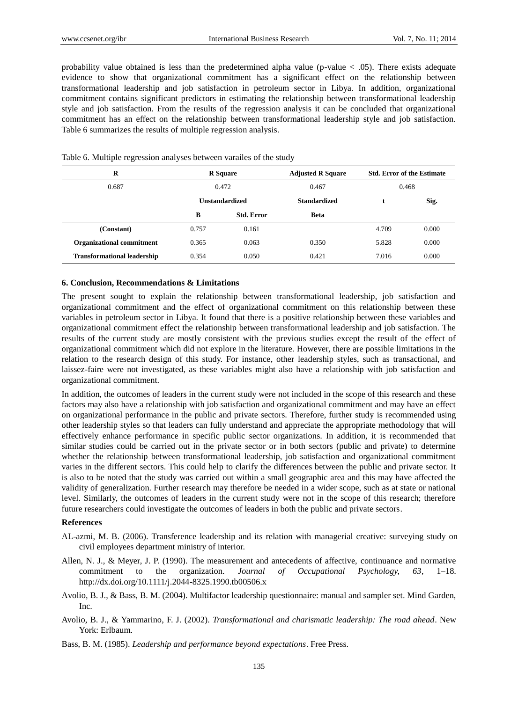probability value obtained is less than the predetermined alpha value (p-value  $\lt$  .05). There exists adequate evidence to show that organizational commitment has a significant effect on the relationship between transformational leadership and job satisfaction in petroleum sector in Libya. In addition, organizational commitment contains significant predictors in estimating the relationship between transformational leadership style and job satisfaction. From the results of the regression analysis it can be concluded that organizational commitment has an effect on the relationship between transformational leadership style and job satisfaction. Table 6 summarizes the results of multiple regression analysis.

| R                                  | <b>R</b> Square        |       | <b>Adjusted R Square</b> | <b>Std. Error of the Estimate</b> |       |       |  |
|------------------------------------|------------------------|-------|--------------------------|-----------------------------------|-------|-------|--|
| 0.687                              | 0.472                  |       |                          |                                   | 0.467 | 0.468 |  |
|                                    | Unstandardized         |       | <b>Standardized</b>      |                                   | Sig.  |       |  |
|                                    | B<br><b>Std. Error</b> |       | <b>Beta</b>              |                                   |       |       |  |
| (Constant)                         | 0.757                  | 0.161 |                          | 4.709                             | 0.000 |       |  |
| <b>Organizational commitment</b>   | 0.365<br>0.063         |       | 0.350                    | 5.828                             | 0.000 |       |  |
| <b>Transformational leadership</b> | 0.354<br>0.050         |       | 0.421                    | 7.016                             | 0.000 |       |  |

Table 6. Multiple regression analyses between varailes of the study

## **6. Conclusion, Recommendations & Limitations**

The present sought to explain the relationship between transformational leadership, job satisfaction and organizational commitment and the effect of organizational commitment on this relationship between these variables in petroleum sector in Libya. It found that there is a positive relationship between these variables and organizational commitment effect the relationship between transformational leadership and job satisfaction. The results of the current study are mostly consistent with the previous studies except the result of the effect of organizational commitment which did not explore in the literature. However, there are possible limitations in the relation to the research design of this study. For instance, other leadership styles, such as transactional, and laissez-faire were not investigated, as these variables might also have a relationship with job satisfaction and organizational commitment.

In addition, the outcomes of leaders in the current study were not included in the scope of this research and these factors may also have a relationship with job satisfaction and organizational commitment and may have an effect on organizational performance in the public and private sectors. Therefore, further study is recommended using other leadership styles so that leaders can fully understand and appreciate the appropriate methodology that will effectively enhance performance in specific public sector organizations. In addition, it is recommended that similar studies could be carried out in the private sector or in both sectors (public and private) to determine whether the relationship between transformational leadership, job satisfaction and organizational commitment varies in the different sectors. This could help to clarify the differences between the public and private sector. It is also to be noted that the study was carried out within a small geographic area and this may have affected the validity of generalization. Further research may therefore be needed in a wider scope, such as at state or national level. Similarly, the outcomes of leaders in the current study were not in the scope of this research; therefore future researchers could investigate the outcomes of leaders in both the public and private sectors.

## **References**

- AL-azmi, M. B. (2006). Transference leadership and its relation with managerial creative: surveying study on civil employees department ministry of interior.
- Allen, N. J., & Meyer, J. P. (1990). The measurement and antecedents of affective, continuance and normative commitment to the organization. *Journal of Occupational Psychology, 63*, 1–18. http://dx.doi.org/10.1111/j.2044-8325.1990.tb00506.x
- Avolio, B. J., & Bass, B. M. (2004). Multifactor leadership questionnaire: manual and sampler set. Mind Garden, Inc.
- Avolio, B. J., & Yammarino, F. J. (2002). *Transformational and charismatic leadership: The road ahead*. New York: Erlbaum.
- Bass, B. M. (1985). *Leadership and performance beyond expectations*. Free Press.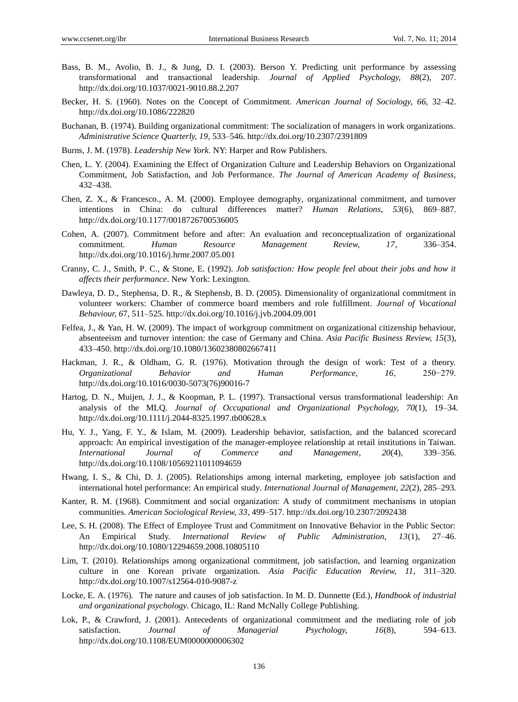- Bass, B. M., Avolio, B. J., & Jung, D. I. (2003). Berson Y. Predicting unit performance by assessing transformational and transactional leadership. *Journal of Applied Psychology, 88*(2), 207. http://dx.doi.org/10.1037/0021-9010.88.2.207
- Becker, H. S. (1960). Notes on the Concept of Commitment. *American Journal of Sociology, 66*, 32–42. http://dx.doi.org/10.1086/222820
- Buchanan, B. (1974). Building organizational commitment: The socialization of managers in work organizations. *Administrative Science Quarterly, 19*, 533–546. http://dx.doi.org/10.2307/2391809
- Burns, J. M. (1978). *Leadership New York*. NY: Harper and Row Publishers.
- Chen, L. Y. (2004). Examining the Effect of Organization Culture and Leadership Behaviors on Organizational Commitment, Job Satisfaction, and Job Performance. *The Journal of American Academy of Business,* 432–438.
- Chen, Z. X., & Francesco., A. M. (2000). Employee demography, organizational commitment, and turnover intentions in China: do cultural differences matter? *Human Relations, 53*(6), 869–887. http://dx.doi.org/10.1177/0018726700536005
- Cohen, A. (2007). Commitment before and after: An evaluation and reconceptualization of organizational commitment. *Human Resource Management Review, 17*, 336–354. http://dx.doi.org/10.1016/j.hrmr.2007.05.001
- Cranny, C. J., Smith, P. C., & Stone, E. (1992). *Job satisfaction: How people feel about their jobs and how it affects their performance*. New York: Lexington.
- Dawleya, D. D., Stephensa, D. R., & Stephensb, B. D. (2005). Dimensionality of organizational commitment in volunteer workers: Chamber of commerce board members and role fulfillment. *Journal of Vocational Behaviour, 6*7, 511–525. http://dx.doi.org/10.1016/j.jvb.2004.09.001
- Felfea, J., & Yan, H. W. (2009). The impact of workgroup commitment on organizational citizenship behaviour, absenteeism and turnover intention: the case of Germany and China. *Asia Pacific Business Review, 15*(3), 433–450. http://dx.doi.org/10.1080/13602380802667411
- Hackman, J. R., & Oldham, G. R. (1976). Motivation through the design of work: Test of a theory. *Organizational Behavior and Human Performance, 16*, 250−279. http://dx.doi.org/10.1016/0030-5073(76)90016-7
- Hartog, D. N., Muijen, J. J., & Koopman, P. L. (1997). Transactional versus transformational leadership: An analysis of the MLQ. *Journal of Occupational and Organizational Psychology, 70*(1), 19–34. http://dx.doi.org/10.1111/j.2044-8325.1997.tb00628.x
- Hu, Y. J., Yang, F. Y., & Islam, M. (2009). Leadership behavior, satisfaction, and the balanced scorecard approach: An empirical investigation of the manager-employee relationship at retail institutions in Taiwan. *International Journal of Commerce and Management, 20*(4), 339–356. http://dx.doi.org/10.1108/10569211011094659
- Hwang, I. S., & Chi, D. J. (2005). Relationships among internal marketing, employee job satisfaction and international hotel performance: An empirical study. *International Journal of Management, 22*(2), 285–293.
- Kanter, R. M. (1968). Commitment and social organization: A study of commitment mechanisms in utopian communities. *American Sociological Review, 33*, 499–517. http://dx.doi.org/10.2307/2092438
- Lee, S. H. (2008). The Effect of Employee Trust and Commitment on Innovative Behavior in the Public Sector: An Empirical Study. *International Review of Public Administration, 13*(1), 27–46. http://dx.doi.org/10.1080/12294659.2008.10805110
- Lim, T. (2010). Relationships among organizational commitment, job satisfaction, and learning organization culture in one Korean private organization. *Asia Pacific Education Review, 11*, 311–320. http://dx.doi.org/10.1007/s12564-010-9087-z
- Locke, E. A. (1976). The nature and causes of job satisfaction. In M. D. Dunnette (Ed.), *Handbook of industrial and organizational psychology.* Chicago, IL: Rand McNally College Publishing.
- Lok, P., & Crawford, J. (2001). Antecedents of organizational commitment and the mediating role of job satisfaction. *Journal of Managerial Psychology, 16*(8), 594–613. http://dx.doi.org/10.1108/EUM0000000006302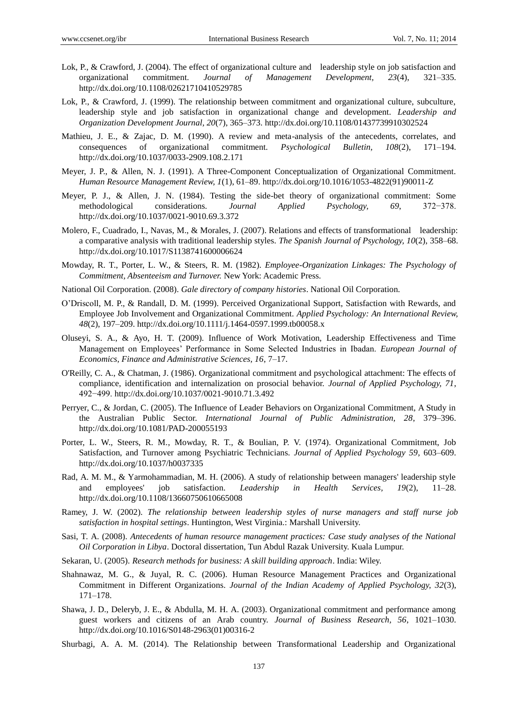- Lok, P., & Crawford, J. (2004). The effect of organizational culture and leadership style on job satisfaction and organizational commitment. *Journal of Management Development, 23*(4), 321–335. http://dx.doi.org/10.1108/02621710410529785
- Lok, P., & Crawford, J. (1999). The relationship between commitment and organizational culture, subculture, leadership style and job satisfaction in organizational change and development. *Leadership and Organization Development Journal, 20*(7), 365–373. http://dx.doi.org/10.1108/01437739910302524
- Mathieu, J. E., & Zajac, D. M. (1990). A review and meta-analysis of the antecedents, correlates, and consequences of organizational commitment. *Psychological Bulletin, 108*(2), 171–194. http://dx.doi.org/10.1037/0033-2909.108.2.171
- Meyer, J. P., & Allen, N. J. (1991). A Three-Component Conceptualization of Organizational Commitment. *Human Resource Management Review, 1*(1), 61–89. http://dx.doi.org/10.1016/1053-4822(91)90011-Z
- Meyer, P. J., & Allen, J. N. (1984). Testing the side-bet theory of organizational commitment: Some methodological considerations. *Journal Applied Psychology, 69*, 372−378. http://dx.doi.org/10.1037/0021-9010.69.3.372
- Molero, F., Cuadrado, I., Navas, M., & Morales, J. (2007). Relations and effects of transformational leadership: a comparative analysis with traditional leadership styles. *The Spanish Journal of Psychology, 10*(2), 358–68. http://dx.doi.org/10.1017/S1138741600006624
- Mowday, R. T., Porter, L. W., & Steers, R. M. (1982). *Employee-Organization Linkages: The Psychology of Commitment, Absenteeism and Turnover.* New York: Academic Press.
- National Oil Corporation. (2008). *Gale directory of company histories*. National Oil Corporation.
- O"Driscoll, M. P., & Randall, D. M. (1999). Perceived Organizational Support, Satisfaction with Rewards, and Employee Job Involvement and Organizational Commitment. *Applied Psychology: An International Review, 48*(2), 197–209. http://dx.doi.org/10.1111/j.1464-0597.1999.tb00058.x
- Oluseyi, S. A., & Ayo, H. T. (2009). Influence of Work Motivation, Leadership Effectiveness and Time Management on Employees" Performance in Some Selected Industries in Ibadan. *European Journal of Economics, Finance and Administrative Sciences, 16*, 7–17.
- O'Reilly, C. A., & Chatman, J. (1986). Organizational commitment and psychological attachment: The effects of compliance, identification and internalization on prosocial behavior. *Journal of Applied Psychology, 71*, 492−499. http://dx.doi.org/10.1037/0021-9010.71.3.492
- Perryer, C., & Jordan, C. (2005). The Influence of Leader Behaviors on Organizational Commitment, A Study in the Australian Public Sector. *International Journal of Public Administration, 28*, 379–396. http://dx.doi.org/10.1081/PAD-200055193
- Porter, L. W., Steers, R. M., Mowday, R. T., & Boulian, P. V. (1974). Organizational Commitment, Job Satisfaction, and Turnover among Psychiatric Technicians. *Journal of Applied Psychology 59*, 603–609. http://dx.doi.org/10.1037/h0037335
- Rad, A. M. M., & Yarmohammadian, M. H. (2006). A study of relationship between managers' leadership style and employees' job satisfaction. *Leadership in Health Services, 19*(2), 11–28. http://dx.doi.org/10.1108/13660750610665008
- Ramey, J. W. (2002). *The relationship between leadership styles of nurse managers and staff nurse job satisfaction in hospital settings*. Huntington, West Virginia.: Marshall University.
- Sasi, T. A. (2008). *Antecedents of human resource management practices: Case study analyses of the National Oil Corporation in Libya*. Doctoral dissertation, Tun Abdul Razak University. Kuala Lumpur.
- Sekaran, U. (2005). *Research methods for business: A skill building approach*. India: Wiley.
- Shahnawaz, M. G., & Juyal, R. C. (2006). Human Resource Management Practices and Organizational Commitment in Different Organizations. *Journal of the Indian Academy of Applied Psychology, 32*(3), 171–178.
- Shawa, J. D., Deleryb, J. E., & Abdulla, M. H. A. (2003). Organizational commitment and performance among guest workers and citizens of an Arab country. *Journal of Business Research, 56*, 1021–1030. http://dx.doi.org/10.1016/S0148-2963(01)00316-2
- Shurbagi, A. A. M. (2014). The Relationship between Transformational Leadership and Organizational